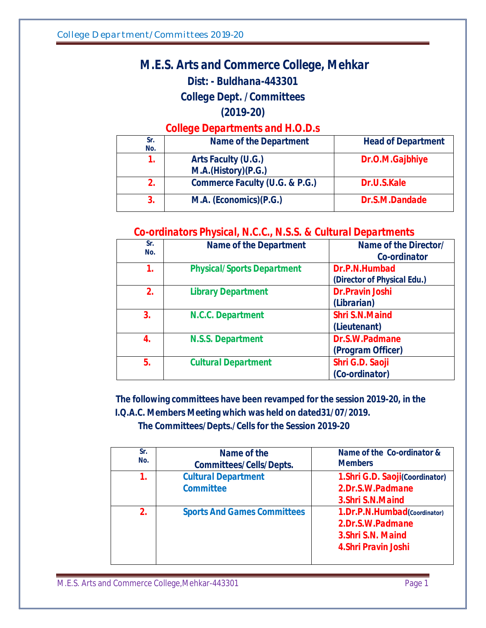## *M.E.S. Arts and Commerce College, Mehkar Dist: - Buldhana-443301 College Dept. /Committees*

*(2019-20)* 

*College Departments and H.O.D.s*

| Sr.<br>No. | <b>Name of the Department</b>              | <b>Head of Department</b> |
|------------|--------------------------------------------|---------------------------|
| 7.         | Arts Faculty (U.G.)<br>M.A.(History)(P.G.) | Dr.O.M.Gajbhiye           |
| 2.         | <b>Commerce Faculty (U.G. &amp; P.G.)</b>  | Dr.U.S.Kale               |
| 3.         | M.A. (Economics)(P.G.)                     | Dr.S.M.Dandade            |

## *Co-ordinators Physical, N.C.C., N.S.S. & Cultural Departments*

| Sr.<br>No. | <b>Name of the Department</b>     | Name of the Director/<br>Co-ordinator        |
|------------|-----------------------------------|----------------------------------------------|
| 1.         | <b>Physical/Sports Department</b> | Dr.P.N.Humbad<br>(Director of Physical Edu.) |
| 2.         | <b>Library Department</b>         | <b>Dr.Pravin Joshi</b><br>(Librarian)        |
| 3.         | N.C.C. Department                 | <b>Shri S.N.Maind</b><br>(Lieutenant)        |
| 4.         | <b>N.S.S. Department</b>          | Dr.S.W.Padmane<br>(Program Officer)          |
| 5.         | <b>Cultural Department</b>        | Shri G.D. Saoji<br>(Co-ordinator)            |

 **The following committees have been revamped for the session 2019-20, in the I.Q.A.C. Members Meeting which was held on dated31/07/2019.** 

**The Committees/Depts./Cells for the Session 2019-20**

| Sr.<br>No.  | Name of the<br><b>Committees/Cells/Depts.</b>  | Name of the Co-ordinator &<br><b>Members</b>                                                   |
|-------------|------------------------------------------------|------------------------------------------------------------------------------------------------|
| 1.          | <b>Cultural Department</b><br><b>Committee</b> | 1. Shri G.D. Saoji(Coordinator)<br>2.Dr.S.W.Padmane<br>3. Shri S.N. Maind                      |
| $2_{\cdot}$ | <b>Sports And Games Committees</b>             | 1.Dr.P.N.Humbad(Coordinator)<br>2.Dr.S.W.Padmane<br>3. Shri S.N. Maind<br>4. Shri Pravin Joshi |

M.E.S. Arts and Commerce College, Mehkar-443301 Page 1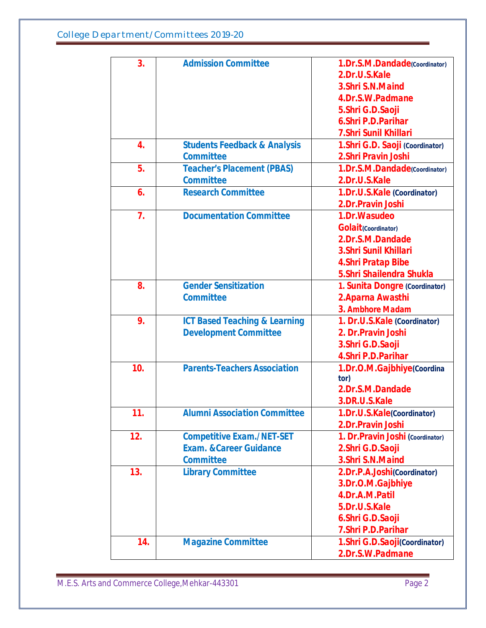| 3.               | <b>Admission Committee</b>               | 1.Dr.S.M.Dandade(Coordinator)     |
|------------------|------------------------------------------|-----------------------------------|
|                  |                                          | 2.Dr.U.S.Kale                     |
|                  |                                          | 3. Shri S.N. Maind                |
|                  |                                          | 4.Dr.S.W.Padmane                  |
|                  |                                          | 5.Shri G.D.Saoji                  |
|                  |                                          | 6. Shri P.D. Parihar              |
|                  |                                          | 7. Shri Sunil Khillari            |
| 4.               | <b>Students Feedback &amp; Analysis</b>  | 1. Shri G.D. Saoji (Coordinator)  |
|                  | <b>Committee</b>                         | 2. Shri Pravin Joshi              |
| 5.               | <b>Teacher's Placement (PBAS)</b>        | 1.Dr.S.M.Dandade(Coordinator)     |
|                  | <b>Committee</b>                         | 2.Dr.U.S.Kale                     |
| 6.               | <b>Research Committee</b>                | 1.Dr.U.S.Kale (Coordinator)       |
|                  |                                          | 2.Dr.Pravin Joshi                 |
| $\overline{7}$ . | <b>Documentation Committee</b>           | 1.Dr. Wasudeo                     |
|                  |                                          | <b>Golait</b> (Coordinator)       |
|                  |                                          | 2.Dr.S.M.Dandade                  |
|                  |                                          | 3. Shri Sunil Khillari            |
|                  |                                          | 4. Shri Pratap Bibe               |
|                  |                                          | 5. Shri Shailendra Shukla         |
| 8.               | <b>Gender Sensitization</b>              | 1. Sunita Dongre (Coordinator)    |
|                  | <b>Committee</b>                         | 2. Aparna Awasthi                 |
|                  |                                          | 3. Ambhore Madam                  |
| 9.               | <b>ICT Based Teaching &amp; Learning</b> | 1. Dr.U.S.Kale (Coordinator)      |
|                  | <b>Development Committee</b>             | 2. Dr. Pravin Joshi               |
|                  |                                          | 3.Shri G.D.Saoji                  |
|                  |                                          | 4. Shri P.D. Parihar              |
| 10.              | <b>Parents-Teachers Association</b>      | 1.Dr.O.M.Gajbhiye(Coordina        |
|                  |                                          | tor)                              |
|                  |                                          | 2.Dr.S.M.Dandade                  |
|                  |                                          | 3.DR.U.S.Kale                     |
| 11.              | <b>Alumni Association Committee</b>      | 1.Dr.U.S.Kale(Coordinator)        |
|                  |                                          | 2.Dr.Pravin Joshi                 |
| 12.              | <b>Competitive Exam./NET-SET</b>         | 1. Dr. Pravin Joshi (Coordinator) |
|                  | <b>Exam. &amp; Career Guidance</b>       | 2. Shri G.D. Saoji                |
|                  | <b>Committee</b>                         | 3. Shri S.N. Maind                |
| 13.              | <b>Library Committee</b>                 | 2.Dr.P.A.Joshi(Coordinator)       |
|                  |                                          | 3.Dr.O.M.Gajbhiye                 |
|                  |                                          | 4.Dr.A.M.Patil                    |
|                  |                                          | 5.Dr.U.S.Kale                     |
|                  |                                          | 6.Shri G.D.Saoji                  |
|                  |                                          | 7. Shri P.D. Parihar              |
| 14.              | <b>Magazine Committee</b>                | 1.Shri G.D.Saoji(Coordinator)     |
|                  |                                          | 2.Dr.S.W.Padmane                  |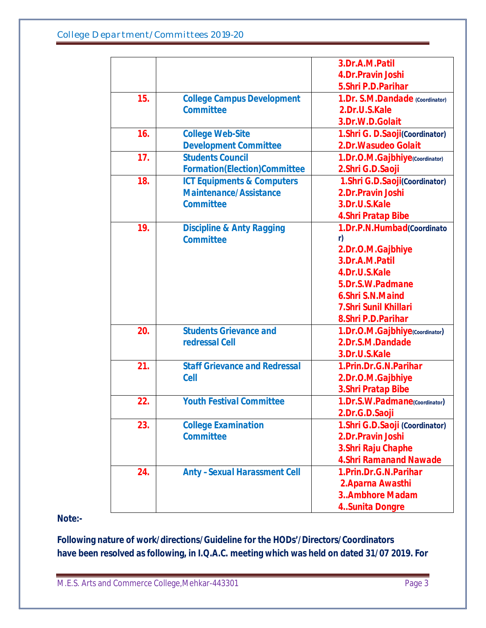|     |                                       | 3.Dr.A.M.Patil                   |
|-----|---------------------------------------|----------------------------------|
|     |                                       | 4.Dr.Pravin Joshi                |
|     |                                       | 5. Shri P.D. Parihar             |
| 15. | <b>College Campus Development</b>     | 1.Dr. S.M.Dandade (Coordinator)  |
|     | <b>Committee</b>                      | 2.Dr.U.S.Kale                    |
|     |                                       | 3.Dr.W.D.Golait                  |
| 16. | <b>College Web-Site</b>               | 1. Shri G. D. Saoji(Coordinator) |
|     | <b>Development Committee</b>          | 2.Dr. Wasudeo Golait             |
| 17. | <b>Students Council</b>               | 1.Dr.O.M.Gajbhiye(Coordinator)   |
|     | <b>Formation(Election)Committee</b>   | 2.Shri G.D.Saoji                 |
| 18. | <b>ICT Equipments &amp; Computers</b> | 1. Shri G.D. Saoji(Coordinator)  |
|     | <b>Maintenance/Assistance</b>         | 2.Dr.Pravin Joshi                |
|     | <b>Committee</b>                      | 3.Dr.U.S.Kale                    |
|     |                                       | 4. Shri Pratap Bibe              |
| 19. | <b>Discipline &amp; Anty Ragging</b>  | 1.Dr.P.N.Humbad(Coordinato       |
|     | <b>Committee</b>                      | r)                               |
|     |                                       | 2.Dr.O.M.Gajbhiye                |
|     |                                       | 3.Dr.A.M.Patil                   |
|     |                                       | 4.Dr.U.S.Kale                    |
|     |                                       | 5.Dr.S.W.Padmane                 |
|     |                                       | 6. Shri S.N. Maind               |
|     |                                       | 7. Shri Sunil Khillari           |
|     |                                       | 8. Shri P.D. Parihar             |
| 20. | <b>Students Grievance and</b>         | 1.Dr.O.M.Gajbhiye(Coordinator)   |
|     | redressal Cell                        | 2.Dr.S.M.Dandade                 |
|     |                                       | 3.Dr.U.S.Kale                    |
| 21. | <b>Staff Grievance and Redressal</b>  | 1. Prin. Dr. G. N. Parihar       |
|     | <b>Cell</b>                           | 2.Dr.O.M.Gajbhiye                |
|     |                                       | 3. Shri Pratap Bibe              |
| 22. | <b>Youth Festival Committee</b>       | 1.Dr.S.W.Padmane(Coordinator)    |
|     |                                       | 2.Dr.G.D.Saoji                   |
| 23. | <b>College Examination</b>            | 1. Shri G.D. Saoji (Coordinator) |
|     | <b>Committee</b>                      | 2.Dr.Pravin Joshi                |
|     |                                       | 3. Shri Raju Chaphe              |
|     |                                       | <b>4. Shri Ramanand Nawade</b>   |
| 24. | <b>Anty-Sexual Harassment Cell</b>    | 1. Prin. Dr. G. N. Parihar       |
|     |                                       | 2. Aparna Awasthi                |
|     |                                       | 3Ambhore Madam                   |
|     |                                       | 4.Sunita Dongre                  |

**Note:-** 

**Following nature of work/directions/Guideline for the HODs'/Directors/Coordinators have been resolved as following, in I.Q.A.C. meeting which was held on dated 31/07 2019. For**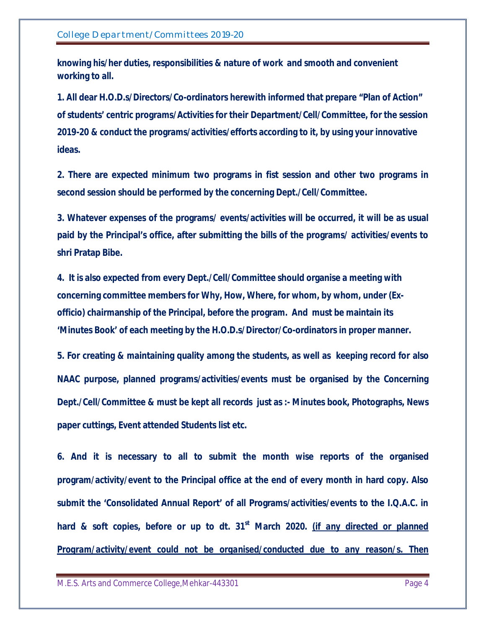**knowing his/her duties, responsibilities & nature of work and smooth and convenient working to all.**

**1. All dear H.O.D.s/Directors/Co-ordinators herewith informed that prepare "Plan of Action" of students' centric programs/Activities for their Department/Cell/Committee, for the session 2019-20 & conduct the programs/activities/efforts according to it, by using your innovative ideas.** 

**2. There are expected minimum two programs in fist session and other two programs in second session should be performed by the concerning Dept./Cell/Committee.**

**3. Whatever expenses of the programs/ events/activities will be occurred, it will be as usual paid by the Principal's office, after submitting the bills of the programs/ activities/events to shri Pratap Bibe.**

**4. It is also expected from every Dept./Cell/Committee should organise a meeting with concerning committee members for Why, How, Where, for whom, by whom, under (Exofficio) chairmanship of the Principal, before the program. And must be maintain its 'Minutes Book' of each meeting by the H.O.D.s/Director/Co-ordinators in proper manner.**

**5. For creating & maintaining quality among the students, as well as keeping record for also NAAC purpose, planned programs/activities/events must be organised by the Concerning Dept./Cell/Committee & must be kept all records just as :- Minutes book, Photographs, News paper cuttings, Event attended Students list etc.**

**6. And it is necessary to all to submit the month wise reports of the organised program/activity/event to the Principal office at the end of every month in hard copy. Also submit the 'Consolidated Annual Report' of all Programs/activities/events to the I.Q.A.C. in hard & soft copies, before or up to dt. 31st March 2020.** *(if any directed or planned Program/activity/event could not be organised/conducted due to any reason/s. Then* 

M.E.S. Arts and Commerce College, Mehkar-443301 Page 4